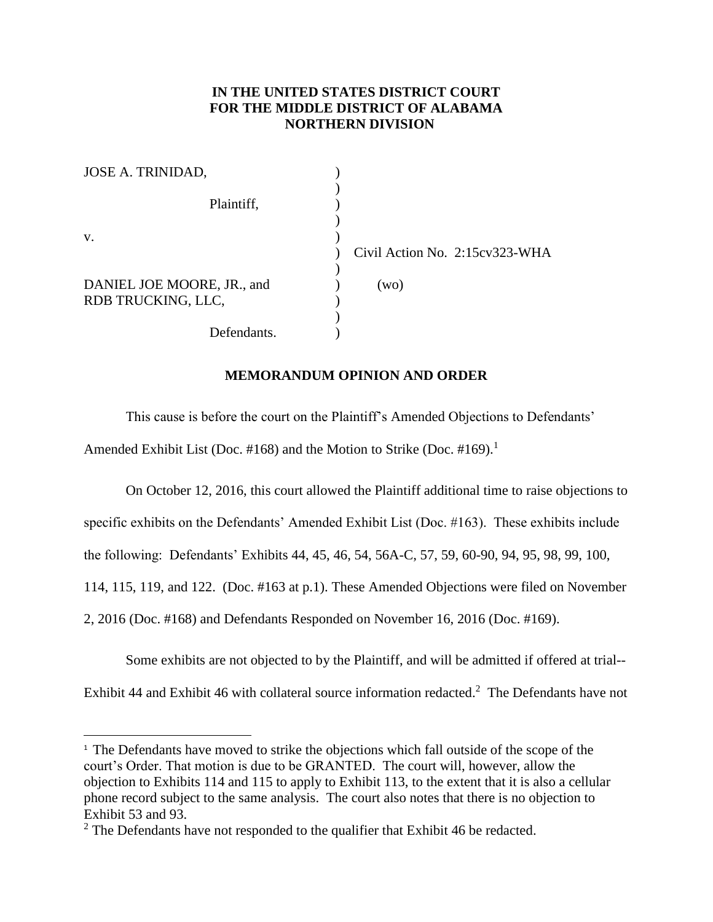## **IN THE UNITED STATES DISTRICT COURT FOR THE MIDDLE DISTRICT OF ALABAMA NORTHERN DIVISION**

| JOSE A. TRINIDAD,                                |                                |
|--------------------------------------------------|--------------------------------|
| Plaintiff,                                       |                                |
| V.                                               | Civil Action No. 2:15cv323-WHA |
| DANIEL JOE MOORE, JR., and<br>RDB TRUCKING, LLC, | (wo)                           |
| Defendants.                                      |                                |

## **MEMORANDUM OPINION AND ORDER**

This cause is before the court on the Plaintiff's Amended Objections to Defendants' Amended Exhibit List (Doc. #168) and the Motion to Strike (Doc. #169).<sup>1</sup>

On October 12, 2016, this court allowed the Plaintiff additional time to raise objections to specific exhibits on the Defendants' Amended Exhibit List (Doc. #163). These exhibits include the following: Defendants' Exhibits 44, 45, 46, 54, 56A-C, 57, 59, 60-90, 94, 95, 98, 99, 100, 114, 115, 119, and 122. (Doc. #163 at p.1). These Amended Objections were filed on November 2, 2016 (Doc. #168) and Defendants Responded on November 16, 2016 (Doc. #169).

Some exhibits are not objected to by the Plaintiff, and will be admitted if offered at trial-- Exhibit 44 and Exhibit 46 with collateral source information redacted.<sup>2</sup> The Defendants have not

 $\overline{a}$ 

<sup>&</sup>lt;sup>1</sup> The Defendants have moved to strike the objections which fall outside of the scope of the court's Order. That motion is due to be GRANTED. The court will, however, allow the objection to Exhibits 114 and 115 to apply to Exhibit 113, to the extent that it is also a cellular phone record subject to the same analysis. The court also notes that there is no objection to Exhibit 53 and 93.

<sup>&</sup>lt;sup>2</sup> The Defendants have not responded to the qualifier that Exhibit 46 be redacted.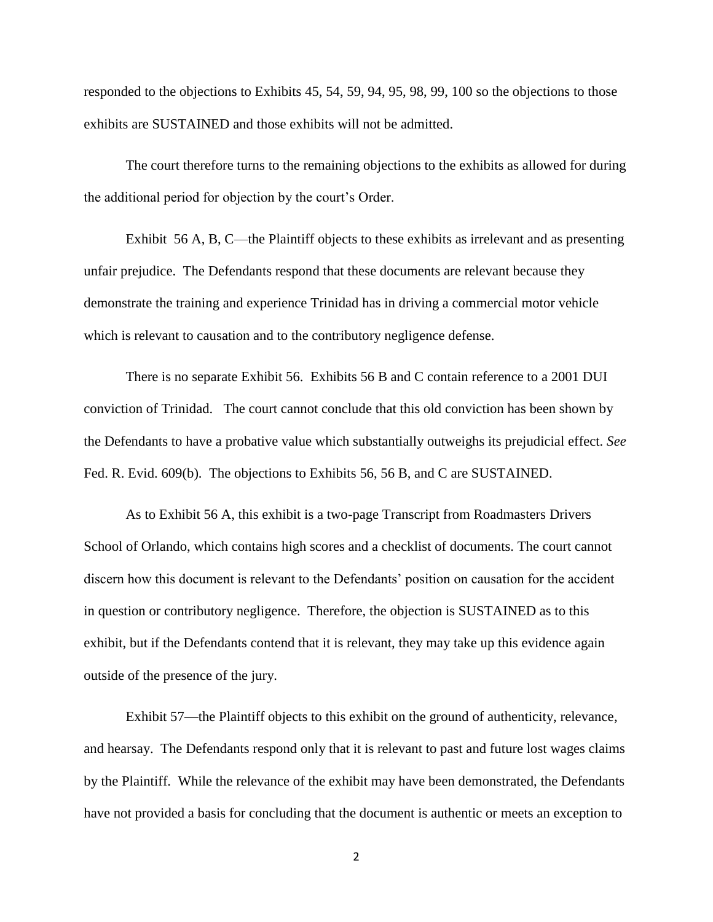responded to the objections to Exhibits 45, 54, 59, 94, 95, 98, 99, 100 so the objections to those exhibits are SUSTAINED and those exhibits will not be admitted.

The court therefore turns to the remaining objections to the exhibits as allowed for during the additional period for objection by the court's Order.

Exhibit 56 A, B, C—the Plaintiff objects to these exhibits as irrelevant and as presenting unfair prejudice. The Defendants respond that these documents are relevant because they demonstrate the training and experience Trinidad has in driving a commercial motor vehicle which is relevant to causation and to the contributory negligence defense.

There is no separate Exhibit 56. Exhibits 56 B and C contain reference to a 2001 DUI conviction of Trinidad. The court cannot conclude that this old conviction has been shown by the Defendants to have a probative value which substantially outweighs its prejudicial effect. *See* Fed. R. Evid. 609(b). The objections to Exhibits 56, 56 B, and C are SUSTAINED.

As to Exhibit 56 A, this exhibit is a two-page Transcript from Roadmasters Drivers School of Orlando, which contains high scores and a checklist of documents. The court cannot discern how this document is relevant to the Defendants' position on causation for the accident in question or contributory negligence. Therefore, the objection is SUSTAINED as to this exhibit, but if the Defendants contend that it is relevant, they may take up this evidence again outside of the presence of the jury.

Exhibit 57—the Plaintiff objects to this exhibit on the ground of authenticity, relevance, and hearsay. The Defendants respond only that it is relevant to past and future lost wages claims by the Plaintiff. While the relevance of the exhibit may have been demonstrated, the Defendants have not provided a basis for concluding that the document is authentic or meets an exception to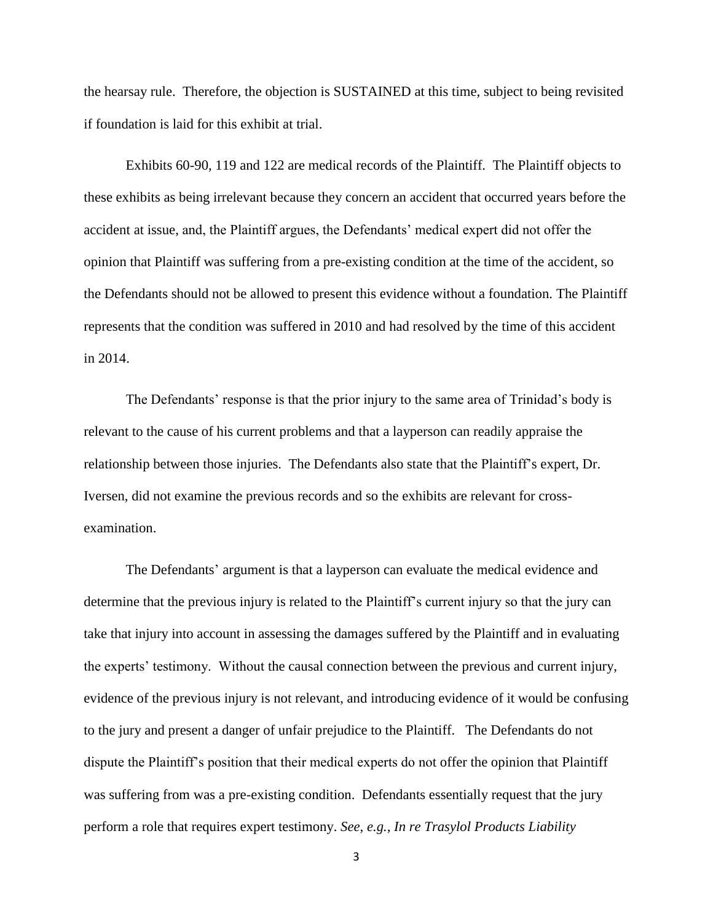the hearsay rule. Therefore, the objection is SUSTAINED at this time, subject to being revisited if foundation is laid for this exhibit at trial.

Exhibits 60-90, 119 and 122 are medical records of the Plaintiff. The Plaintiff objects to these exhibits as being irrelevant because they concern an accident that occurred years before the accident at issue, and, the Plaintiff argues, the Defendants' medical expert did not offer the opinion that Plaintiff was suffering from a pre-existing condition at the time of the accident, so the Defendants should not be allowed to present this evidence without a foundation. The Plaintiff represents that the condition was suffered in 2010 and had resolved by the time of this accident in 2014.

The Defendants' response is that the prior injury to the same area of Trinidad's body is relevant to the cause of his current problems and that a layperson can readily appraise the relationship between those injuries. The Defendants also state that the Plaintiff's expert, Dr. Iversen, did not examine the previous records and so the exhibits are relevant for crossexamination.

The Defendants' argument is that a layperson can evaluate the medical evidence and determine that the previous injury is related to the Plaintiff's current injury so that the jury can take that injury into account in assessing the damages suffered by the Plaintiff and in evaluating the experts' testimony. Without the causal connection between the previous and current injury, evidence of the previous injury is not relevant, and introducing evidence of it would be confusing to the jury and present a danger of unfair prejudice to the Plaintiff. The Defendants do not dispute the Plaintiff's position that their medical experts do not offer the opinion that Plaintiff was suffering from was a pre-existing condition. Defendants essentially request that the jury perform a role that requires expert testimony. *See, e.g., In re Trasylol Products Liability* 

3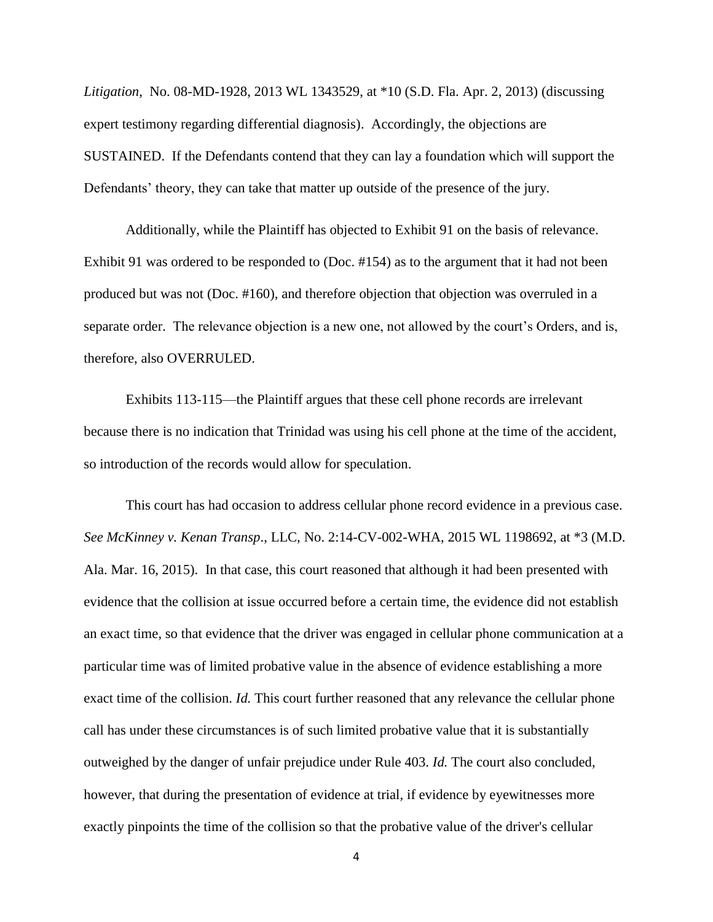*Litigation*, No. 08-MD-1928, 2013 WL 1343529, at \*10 (S.D. Fla. Apr. 2, 2013) (discussing expert testimony regarding differential diagnosis). Accordingly, the objections are SUSTAINED. If the Defendants contend that they can lay a foundation which will support the Defendants' theory, they can take that matter up outside of the presence of the jury.

Additionally, while the Plaintiff has objected to Exhibit 91 on the basis of relevance. Exhibit 91 was ordered to be responded to (Doc. #154) as to the argument that it had not been produced but was not (Doc. #160), and therefore objection that objection was overruled in a separate order. The relevance objection is a new one, not allowed by the court's Orders, and is, therefore, also OVERRULED.

Exhibits 113-115—the Plaintiff argues that these cell phone records are irrelevant because there is no indication that Trinidad was using his cell phone at the time of the accident, so introduction of the records would allow for speculation.

This court has had occasion to address cellular phone record evidence in a previous case. *See McKinney v. Kenan Transp*., LLC, No. 2:14-CV-002-WHA, 2015 WL 1198692, at \*3 (M.D. Ala. Mar. 16, 2015). In that case, this court reasoned that although it had been presented with evidence that the collision at issue occurred before a certain time, the evidence did not establish an exact time, so that evidence that the driver was engaged in cellular phone communication at a particular time was of limited probative value in the absence of evidence establishing a more exact time of the collision. *Id.* This court further reasoned that any relevance the cellular phone call has under these circumstances is of such limited probative value that it is substantially outweighed by the danger of unfair prejudice under Rule 403. *Id.* The court also concluded, however, that during the presentation of evidence at trial, if evidence by eyewitnesses more exactly pinpoints the time of the collision so that the probative value of the driver's cellular